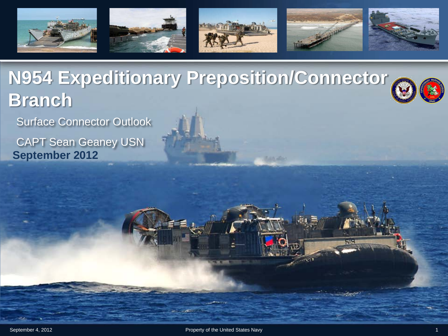

**N954 Expeditionary Preposition/Connector Branch**

Surface Connector Outlook

CAPT Sean Geaney USN **September 2012**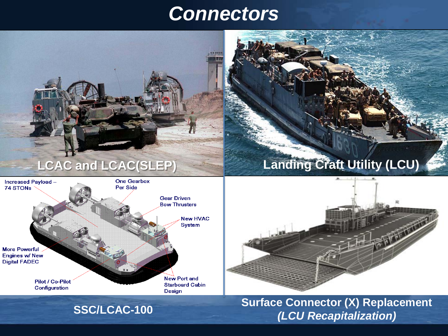#### *Connectors*





#### **SSC/LCAC-100 Surface Connector (X) Replacement** *(LCU Recapitalization)*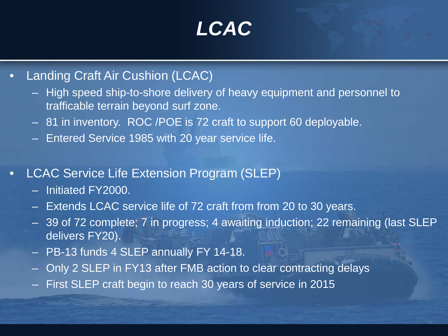# *LCAC*

- Landing Craft Air Cushion (LCAC)
	- High speed ship-to-shore delivery of heavy equipment and personnel to trafficable terrain beyond surf zone.
	- 81 in inventory. ROC /POE is 72 craft to support 60 deployable.
	- Entered Service 1985 with 20 year service life.
- LCAC Service Life Extension Program (SLEP)
	- Initiated FY2000.
	- Extends LCAC service life of 72 craft from from 20 to 30 years.
	- 39 of 72 complete; 7 in progress; 4 awaiting induction; 22 remaining (last SLEP delivers FY20).
	- PB-13 funds 4 SLEP annually FY 14-18.
	- Only 2 SLEP in FY13 after FMB action to clear contracting delays
	- First SLEP craft begin to reach 30 years of service in 2015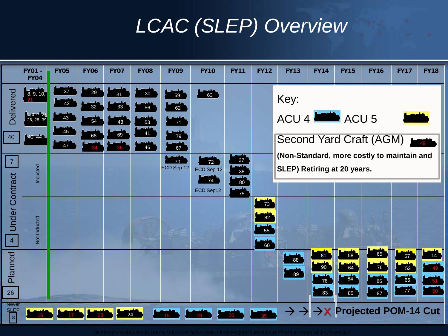# *LCAC (SLEP) Overview*

|                                         | <b>FY01 -</b><br><b>FY04</b>                        | <b>FY05</b>    | <b>FY06</b>    | <b>FY07</b>    | <b>FY08</b>        | <b>FY09</b>                | <b>FY10</b>            | <b>FY11</b>                                    | <b>FY12</b>          | <b>FY13</b>                                                               | <b>FY14</b>        | <b>FY15</b>                 | <b>FY16</b>                                | <b>FY17</b>                | <b>FY18</b>          |
|-----------------------------------------|-----------------------------------------------------|----------------|----------------|----------------|--------------------|----------------------------|------------------------|------------------------------------------------|----------------------|---------------------------------------------------------------------------|--------------------|-----------------------------|--------------------------------------------|----------------------------|----------------------|
| <b>Delivered</b>                        | $\frac{1}{8}$ , 9, 10,<br>2, 4, 7, 25<br>26, 28, 39 | 37<br>42<br>43 | 29<br>32<br>54 | 31<br>33<br>48 | $30\,$<br>56<br>53 | 59<br>62<br>$\frac{1}{71}$ | 63                     |                                                |                      | Key:<br>ACU 4 <b>ACU 5</b>                                                |                    |                             |                                            |                            |                      |
| 40                                      | 40,44                                               | 45<br>47       | 68             | 69             | 41<br>46           | 79<br>$\frac{1}{67}$       |                        |                                                |                      | Second Yard Craft (AGM)                                                   |                    |                             |                                            |                            |                      |
| $\overline{7}$                          | Inducted                                            |                |                |                |                    | 70<br>ECD Sep 12           | 72<br>ECD Sep 12<br>74 | $\frac{1}{27}$<br>$\frac{1}{38}$<br><b>180</b> |                      | (Non-Standard, more costly to maintain and<br>SLEP) Retiring at 20 years. |                    |                             |                                            |                            |                      |
| <b>Jnder Contract</b><br>$\overline{4}$ | Not Inducted                                        |                |                |                |                    |                            | ECD Sep12              | $\frac{1}{75}$                                 | 73<br>82<br>55<br>60 |                                                                           |                    |                             |                                            |                            |                      |
| Planned                                 |                                                     |                |                |                |                    |                            |                        |                                                |                      | 88<br>89                                                                  | 81<br>$90\,$<br>78 | 58<br>64<br>$\overline{84}$ | 65<br>76<br>86                             | 57<br>52<br>$\frac{1}{66}$ | 14<br>$\frac{1}{51}$ |
| 26<br><b>Never</b><br>$\frac{SIFP}{8}$  |                                                     | 17             |                |                | 24                 |                            |                        |                                                |                      | $\rightarrow$<br>$\rightarrow$                                            | مشد<br>83          | فالمستد<br>85               | 87<br>$\rightarrow$ X Projected POM-14 Cut | <b>xyy</b>                 | $-50$                |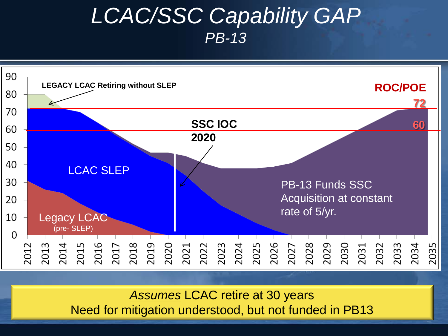#### *LCAC/SSC Capability GAP PB-13*



*Assumes* LCAC retire at 30 years Need for mitigation understood, but not funded in PB13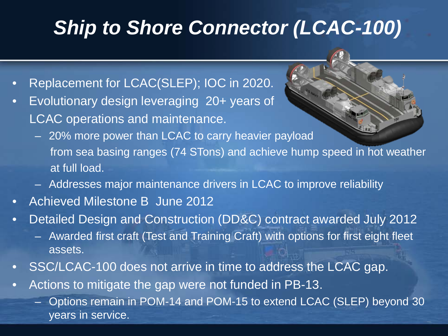## *Ship to Shore Connector (LCAC-100)*

- Replacement for LCAC(SLEP); IOC in 2020.
- Evolutionary design leveraging 20+ years of LCAC operations and maintenance.
	- 20% more power than LCAC to carry heavier payload from sea basing ranges (74 STons) and achieve hump speed in hot weather at full load.
	- Addresses major maintenance drivers in LCAC to improve reliability
- Achieved Milestone B June 2012
- Detailed Design and Construction (DD&C) contract awarded July 2012
	- Awarded first craft (Test and Training Craft) with options for first eight fleet assets.
- SSC/LCAC-100 does not arrive in time to address the LCAC gap.
- Actions to mitigate the gap were not funded in PB-13.
	- Options remain in POM-14 and POM-15 to extend LCAC (SLEP) beyond 30 years in service.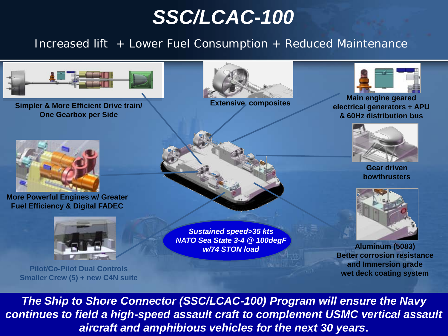### *SSC/LCAC-100*

*Increased lift + Lower Fuel Consumption + Reduced Maintenance*



**Simpler & More Efficient Drive train/ One Gearbox per Side**



**More Powerful Engines w/ Greater Fuel Efficiency & Digital FADEC**



**Pilot/Co-Pilot Dual Controls Smaller Crew (5) + new C4N suite**



**Extensive composites**

*Sustained speed>35 kts NATO Sea State 3-4 @ 100degF w/74 STON load*



**Main engine geared electrical generators + APU & 60Hz distribution bus**



**Gear driven bowthrusters**



**Aluminum (5083) Better corrosion resistance and Immersion grade wet deck coating system**

7 *aircraft and amphibious vehicles for the next 30 years***.** *The Ship to Shore Connector (SSC/LCAC-100) Program will ensure the Navy continues to field a high-speed assault craft to complement USMC vertical assault*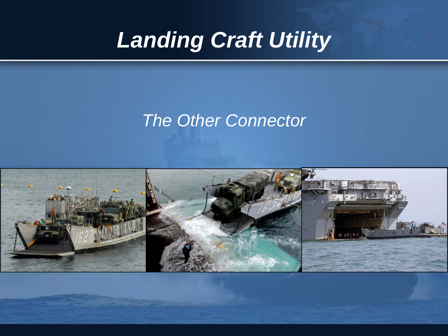# *Landing Craft Utility*

#### *The Other Connector*

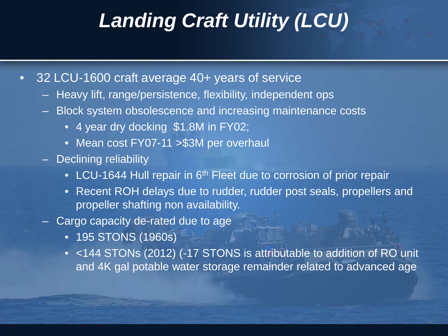## *Landing Craft Utility (LCU)*

- 32 LCU-1600 craft average 40+ years of service
	- Heavy lift, range/persistence, flexibility, independent ops
	- Block system obsolescence and increasing maintenance costs
		- 4 year dry docking \$1.8M in FY02;
		- Mean cost FY07-11 > \$3M per overhaul
	- Declining reliability
		- LCU-1644 Hull repair in 6<sup>th</sup> Fleet due to corrosion of prior repair
		- Recent ROH delays due to rudder, rudder post seals, propellers and propeller shafting non availability.
	- Cargo capacity de-rated due to age
		- 195 STONS (1960s)
		- <144 STONs (2012) (-17 STONS is attributable to addition of RO unit and 4K gal potable water storage remainder related to advanced age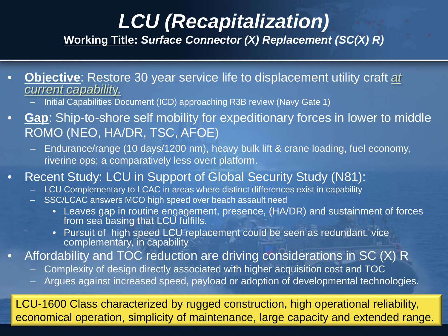# *LCU (Recapitalization)*

**Working Title:** *Surface Connector (X) Replacement (SC(X) R)*

- **Objective**: Restore 30 year service life to displacement utility craft *at* 
	- Initial Capabilities Document (ICD) approaching R3B review (Navy Gate 1)
- **Gap**: Ship-to-shore self mobility for expeditionary forces in lower to middle ROMO (NEO, HA/DR, TSC, AFOE)
	- Endurance/range (10 days/1200 nm), heavy bulk lift & crane loading, fuel economy, riverine ops; a comparatively less overt platform.
- Recent Study: LCU in Support of Global Security Study (N81):
	- LCU Complementary to LCAC in areas where distinct differences exist in capability
	- SSC/LCAC answers MCO high speed over beach assault need
		- Leaves gap in routine engagement, presence, (HA/DR) and sustainment of forces from sea basing that LCU fulfills.
		- Pursuit of high speed LCU replacement could be seen as redundant, vice complementary, in capability
- Affordability and TOC reduction are driving considerations in SC (X) R
	- Complexity of design directly associated with higher acquisition cost and TOC
	- Argues against increased speed, payload or adoption of developmental technologies.

LCU-1600 Class characterized by rugged construction, high operational reliability, economical operation, simplicity of maintenance, large capacity and extended range.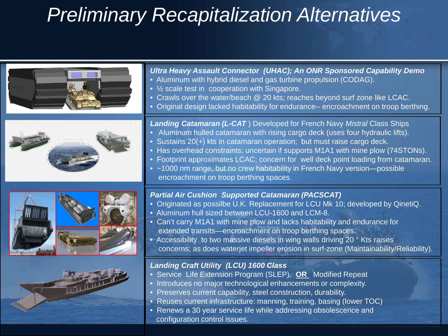# *Preliminary Recapitalization Alternatives*

| <b>Ultra Heavy Assault Connector (UHAC); An ONR Sponsored Capability Demo</b><br>• Aluminum with hybrid diesel and gas turbine propulsion (CODAG).<br>• $\frac{1}{2}$ scale test in cooperation with Singapore.<br>• Crawls over the water/beach @ 20 kts; reaches beyond surf zone like LCAC.<br>• Original design lacked habitability for endurance-- encroachment on troop berthing.                                                                                                                                                 |
|-----------------------------------------------------------------------------------------------------------------------------------------------------------------------------------------------------------------------------------------------------------------------------------------------------------------------------------------------------------------------------------------------------------------------------------------------------------------------------------------------------------------------------------------|
| Landing Catamaran (L-CAT) Developed for French Navy Mistral Class Ships<br>• Aluminum hulled catamaran with rising cargo deck (uses four hydraulic lifts).<br>• Sustains 20(+) kts in catamaran operation; but must raise cargo deck.<br>• Has overhead constraints; uncertain if supports M1A1 with mine plow (74STONs).<br>• Footprint approximates LCAC; concern for well deck point loading from catamaran.<br>• ~1000 nm range, but no crew habitability in French Navy version-possible<br>encroachment on troop berthing spaces. |
| <b>Partial Air Cushion Supported Catamaran (PACSCAT)</b><br>• Originated as possilbe U.K. Replacement for LCU Mk 10; developed by QinetiQ.<br>• Aluminum hull sized between LCU-1600 and LCM-8.<br>• Can't carry M1A1 with mine plow and lacks habitability and endurance for<br>extended transits-encroachment on troop berthing spaces.<br>• Accessibility to two massive diesels in wing walls driving 20 + Kts raises<br>concerns; as does waterjet impeller erosion in surf-zone (Maintainability/Reliability).                    |
| <b>Landing Craft Utility (LCU) 1600 Class</b><br>• Service Life Extension Program (SLEP), OR Modified Repeat<br>• Introduces no major technological enhancements or complexity.<br>• Preserves current capability, steel construction, durability.<br>• Reuses current infrastructure: manning, training, basing (lower TOC)<br>• Renews a 30 year service life while addressing obsolescence and<br>configuration control issues.                                                                                                      |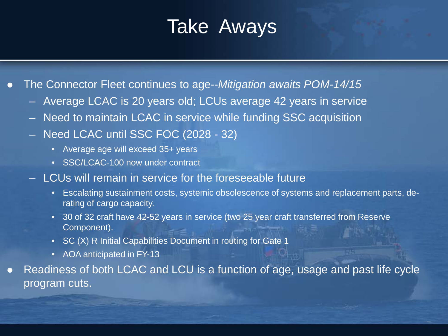# Take Aways

The Connector Fleet continues to age--*Mitigation awaits POM-14/15*

- Average LCAC is 20 years old; LCUs average 42 years in service
- Need to maintain LCAC in service while funding SSC acquisition
- Need LCAC until SSC FOC (2028 32)
	- Average age will exceed 35+ years
	- SSC/LCAC-100 now under contract
- LCUs will remain in service for the foreseeable future
	- Escalating sustainment costs, systemic obsolescence of systems and replacement parts, derating of cargo capacity.
	- 30 of 32 craft have 42-52 years in service (two 25 year craft transferred from Reserve Component).
	- SC (X) R Initial Capabilities Document in routing for Gate 1
	- AOA anticipated in FY-13
- Readiness of both LCAC and LCU is a function of age, usage and past life cycle program cuts.